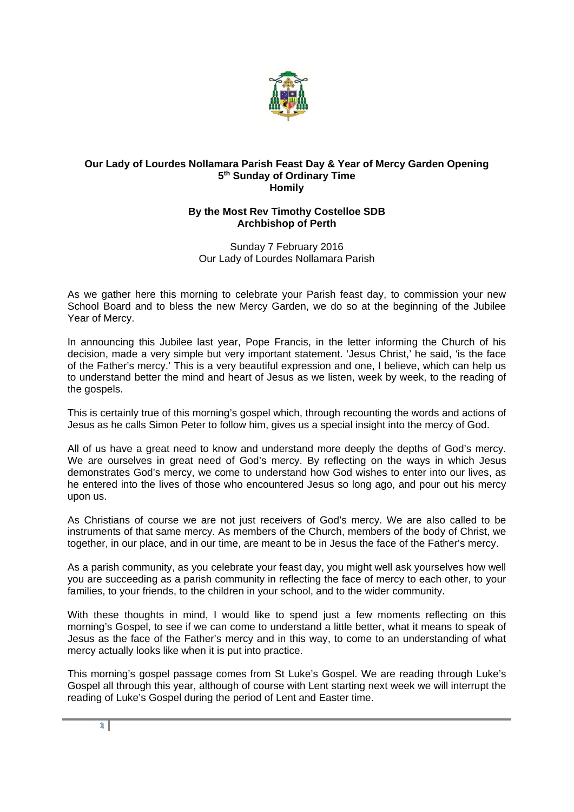

## **Our Lady of Lourdes Nollamara Parish Feast Day & Year of Mercy Garden Opening 5th Sunday of Ordinary Time Homily**

## **By the Most Rev Timothy Costelloe SDB Archbishop of Perth**

Sunday 7 February 2016 Our Lady of Lourdes Nollamara Parish

As we gather here this morning to celebrate your Parish feast day, to commission your new School Board and to bless the new Mercy Garden, we do so at the beginning of the Jubilee Year of Mercy.

In announcing this Jubilee last year, Pope Francis, in the letter informing the Church of his decision, made a very simple but very important statement. 'Jesus Christ,' he said, 'is the face of the Father's mercy.' This is a very beautiful expression and one, I believe, which can help us to understand better the mind and heart of Jesus as we listen, week by week, to the reading of the gospels.

This is certainly true of this morning's gospel which, through recounting the words and actions of Jesus as he calls Simon Peter to follow him, gives us a special insight into the mercy of God.

All of us have a great need to know and understand more deeply the depths of God's mercy. We are ourselves in great need of God's mercy. By reflecting on the ways in which Jesus demonstrates God's mercy, we come to understand how God wishes to enter into our lives, as he entered into the lives of those who encountered Jesus so long ago, and pour out his mercy upon us.

As Christians of course we are not just receivers of God's mercy. We are also called to be instruments of that same mercy. As members of the Church, members of the body of Christ, we together, in our place, and in our time, are meant to be in Jesus the face of the Father's mercy.

As a parish community, as you celebrate your feast day, you might well ask yourselves how well you are succeeding as a parish community in reflecting the face of mercy to each other, to your families, to your friends, to the children in your school, and to the wider community.

With these thoughts in mind, I would like to spend just a few moments reflecting on this morning's Gospel, to see if we can come to understand a little better, what it means to speak of Jesus as the face of the Father's mercy and in this way, to come to an understanding of what mercy actually looks like when it is put into practice.

This morning's gospel passage comes from St Luke's Gospel. We are reading through Luke's Gospel all through this year, although of course with Lent starting next week we will interrupt the reading of Luke's Gospel during the period of Lent and Easter time.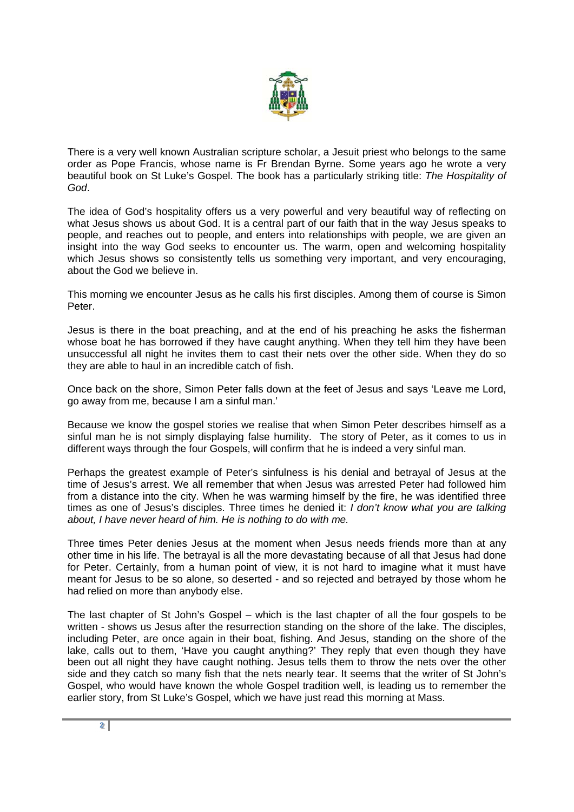

There is a very well known Australian scripture scholar, a Jesuit priest who belongs to the same order as Pope Francis, whose name is Fr Brendan Byrne. Some years ago he wrote a very beautiful book on St Luke's Gospel. The book has a particularly striking title: *The Hospitality of God*.

The idea of God's hospitality offers us a very powerful and very beautiful way of reflecting on what Jesus shows us about God. It is a central part of our faith that in the way Jesus speaks to people, and reaches out to people, and enters into relationships with people, we are given an insight into the way God seeks to encounter us. The warm, open and welcoming hospitality which Jesus shows so consistently tells us something very important, and very encouraging, about the God we believe in.

This morning we encounter Jesus as he calls his first disciples. Among them of course is Simon Peter.

Jesus is there in the boat preaching, and at the end of his preaching he asks the fisherman whose boat he has borrowed if they have caught anything. When they tell him they have been unsuccessful all night he invites them to cast their nets over the other side. When they do so they are able to haul in an incredible catch of fish.

Once back on the shore, Simon Peter falls down at the feet of Jesus and says 'Leave me Lord, go away from me, because I am a sinful man.'

Because we know the gospel stories we realise that when Simon Peter describes himself as a sinful man he is not simply displaying false humility. The story of Peter, as it comes to us in different ways through the four Gospels, will confirm that he is indeed a very sinful man.

Perhaps the greatest example of Peter's sinfulness is his denial and betrayal of Jesus at the time of Jesus's arrest. We all remember that when Jesus was arrested Peter had followed him from a distance into the city. When he was warming himself by the fire, he was identified three times as one of Jesus's disciples. Three times he denied it: *I don't know what you are talking about, I have never heard of him. He is nothing to do with me.*

Three times Peter denies Jesus at the moment when Jesus needs friends more than at any other time in his life. The betrayal is all the more devastating because of all that Jesus had done for Peter. Certainly, from a human point of view, it is not hard to imagine what it must have meant for Jesus to be so alone, so deserted - and so rejected and betrayed by those whom he had relied on more than anybody else.

The last chapter of St John's Gospel – which is the last chapter of all the four gospels to be written - shows us Jesus after the resurrection standing on the shore of the lake. The disciples, including Peter, are once again in their boat, fishing. And Jesus, standing on the shore of the lake, calls out to them, 'Have you caught anything?' They reply that even though they have been out all night they have caught nothing. Jesus tells them to throw the nets over the other side and they catch so many fish that the nets nearly tear. It seems that the writer of St John's Gospel, who would have known the whole Gospel tradition well, is leading us to remember the earlier story, from St Luke's Gospel, which we have just read this morning at Mass.